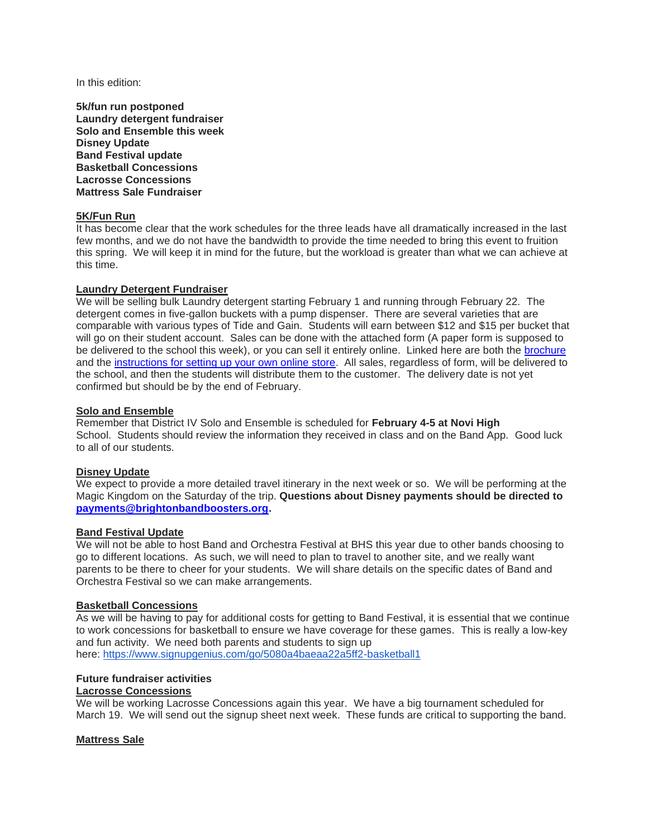In this edition:

**5k/fun run postponed Laundry detergent fundraiser Solo and Ensemble this week Disney Update Band Festival update Basketball Concessions Lacrosse Concessions Mattress Sale Fundraiser**

# **5K/Fun Run**

It has become clear that the work schedules for the three leads have all dramatically increased in the last few months, and we do not have the bandwidth to provide the time needed to bring this event to fruition this spring. We will keep it in mind for the future, but the workload is greater than what we can achieve at this time.

### **Laundry Detergent Fundraiser**

We will be selling bulk Laundry detergent starting February 1 and running through February 22. The detergent comes in five-gallon buckets with a pump dispenser. There are several varieties that are comparable with various types of Tide and Gain. Students will earn between \$12 and \$15 per bucket that will go on their student account. Sales can be done with the attached form (A paper form is supposed to be delivered to the school this week), or you can sell it entirely online. Linked here are both the [brochure](https://c03bda90-4399-4b42-8105-a0587557a671.filesusr.com/ugd/8ce1b1_108145271915498a9bf598fe96717705.pdf) and the [instructions for setting up your own online store.](https://c03bda90-4399-4b42-8105-a0587557a671.filesusr.com/ugd/8ce1b1_44d511d742344d06abe4423925220553.docx?dn=Detergent_Online%20Instructions_Brighton%20Band.docx) All sales, regardless of form, will be delivered to the school, and then the students will distribute them to the customer. The delivery date is not yet confirmed but should be by the end of February.

### **Solo and Ensemble**

Remember that District IV Solo and Ensemble is scheduled for **February 4-5 at Novi High**  School. Students should review the information they received in class and on the Band App. Good luck to all of our students.

## **Disney Update**

We expect to provide a more detailed travel itinerary in the next week or so. We will be performing at the Magic Kingdom on the Saturday of the trip. **Questions about Disney payments should be directed to [payments@brightonbandboosters.org.](payments@brightonbandboosters.org)**

#### **Band Festival Update**

We will not be able to host Band and Orchestra Festival at BHS this year due to other bands choosing to go to different locations. As such, we will need to plan to travel to another site, and we really want parents to be there to cheer for your students. We will share details on the specific dates of Band and Orchestra Festival so we can make arrangements.

#### **Basketball Concessions**

As we will be having to pay for additional costs for getting to Band Festival, it is essential that we continue to work concessions for basketball to ensure we have coverage for these games. This is really a low-key and fun activity. We need both parents and students to sign up here: <https://www.signupgenius.com/go/5080a4baeaa22a5ff2-basketball1>

# **Future fundraiser activities**

## **Lacrosse Concessions**

We will be working Lacrosse Concessions again this year. We have a big tournament scheduled for March 19. We will send out the signup sheet next week. These funds are critical to supporting the band.

## **Mattress Sale**